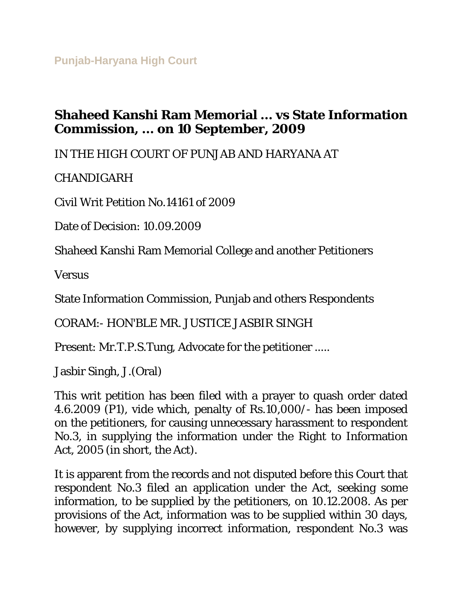## **Shaheed Kanshi Ram Memorial ... vs State Information Commission, ... on 10 September, 2009**

IN THE HIGH COURT OF PUNJAB AND HARYANA AT

CHANDIGARH

Civil Writ Petition No.14161 of 2009

Date of Decision: 10.09.2009

Shaheed Kanshi Ram Memorial College and another Petitioners

Versus

State Information Commission, Punjab and others Respondents

CORAM:- HON'BLE MR. JUSTICE JASBIR SINGH

Present: Mr.T.P.S.Tung, Advocate for the petitioner .....

Jasbir Singh, J.(Oral)

This writ petition has been filed with a prayer to quash order dated 4.6.2009 (P1), vide which, penalty of Rs.10,000/- has been imposed on the petitioners, for causing unnecessary harassment to respondent No.3, in supplying the information under the Right to Information Act, 2005 (in short, the Act).

It is apparent from the records and not disputed before this Court that respondent No.3 filed an application under the Act, seeking some information, to be supplied by the petitioners, on 10.12.2008. As per provisions of the Act, information was to be supplied within 30 days, however, by supplying incorrect information, respondent No.3 was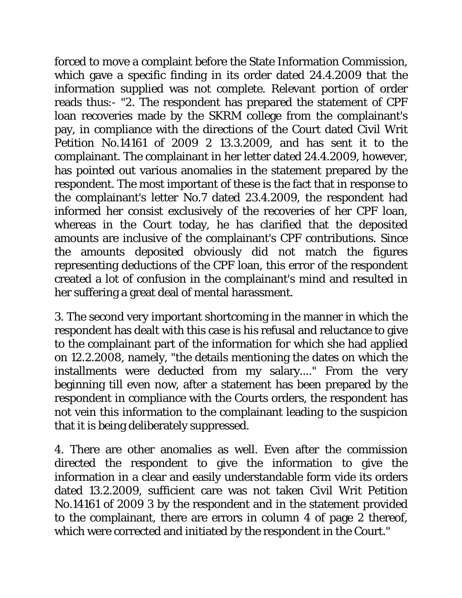forced to move a complaint before the State Information Commission, which gave a specific finding in its order dated 24.4.2009 that the information supplied was not complete. Relevant portion of order reads thus:- "2. The respondent has prepared the statement of CPF loan recoveries made by the SKRM college from the complainant's pay, in compliance with the directions of the Court dated Civil Writ Petition No.14161 of 2009 2 13.3.2009, and has sent it to the complainant. The complainant in her letter dated 24.4.2009, however, has pointed out various anomalies in the statement prepared by the respondent. The most important of these is the fact that in response to the complainant's letter No.7 dated 23.4.2009, the respondent had informed her consist exclusively of the recoveries of her CPF loan, whereas in the Court today, he has clarified that the deposited amounts are inclusive of the complainant's CPF contributions. Since the amounts deposited obviously did not match the figures representing deductions of the CPF loan, this error of the respondent created a lot of confusion in the complainant's mind and resulted in her suffering a great deal of mental harassment.

3. The second very important shortcoming in the manner in which the respondent has dealt with this case is his refusal and reluctance to give to the complainant part of the information for which she had applied on 12.2.2008, namely, "the details mentioning the dates on which the installments were deducted from my salary...." From the very beginning till even now, after a statement has been prepared by the respondent in compliance with the Courts orders, the respondent has not vein this information to the complainant leading to the suspicion that it is being deliberately suppressed.

4. There are other anomalies as well. Even after the commission directed the respondent to give the information to give the information in a clear and easily understandable form vide its orders dated 13.2.2009, sufficient care was not taken Civil Writ Petition No.14161 of 2009 3 by the respondent and in the statement provided to the complainant, there are errors in column 4 of page 2 thereof, which were corrected and initiated by the respondent in the Court."